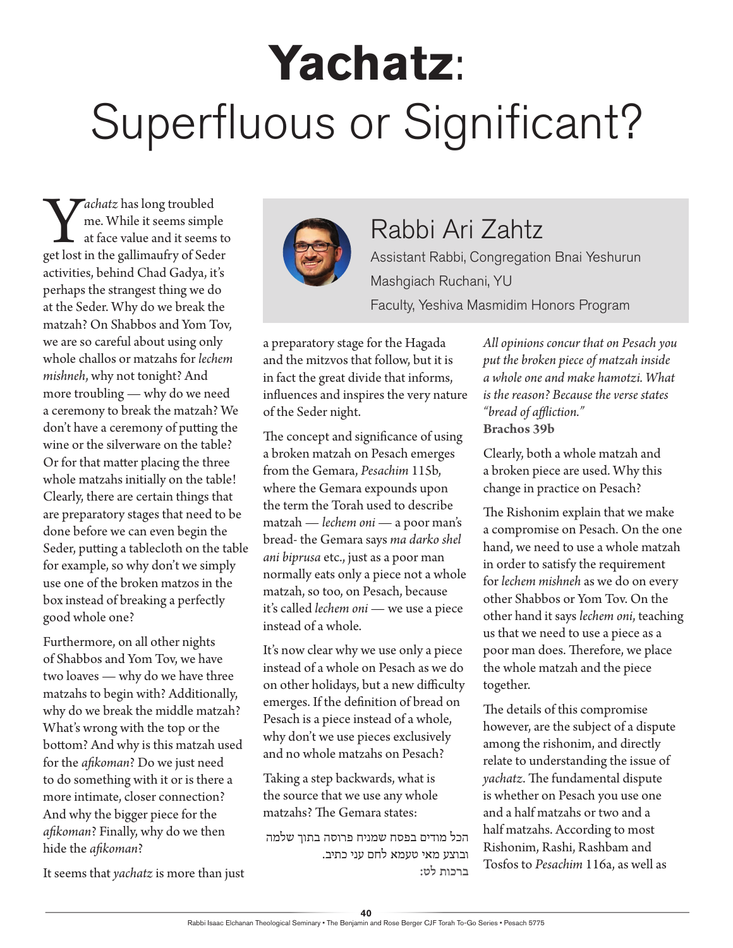## **Yachatz**: Superfluous or Significant?

Y*achatz* has long troubled get lost in the gallimaufry of Seder me. While it seems simple at face value and it seems to activities, behind Chad Gadya, it's perhaps the strangest thing we do at the Seder. Why do we break the matzah? On Shabbos and Yom Tov, we are so careful about using only whole challos or matzahs for *lechem mishneh*, why not tonight? And more troubling — why do we need a ceremony to break the matzah? We don't have a ceremony of putting the wine or the silverware on the table? Or for that matter placing the three whole matzahs initially on the table! Clearly, there are certain things that are preparatory stages that need to be done before we can even begin the Seder, putting a tablecloth on the table for example, so why don't we simply use one of the broken matzos in the box instead of breaking a perfectly good whole one?

Furthermore, on all other nights of Shabbos and Yom Tov, we have two loaves — why do we have three matzahs to begin with? Additionally, why do we break the middle matzah? What's wrong with the top or the bottom? And why is this matzah used for the *afikoman*? Do we just need to do something with it or is there a more intimate, closer connection? And why the bigger piece for the *afikoman*? Finally, why do we then hide the *afikoman*?

It seems that *yachatz* is more than just



## Rabbi Ari Zahtz

Assistant Rabbi, Congregation Bnai Yeshurun Mashgiach Ruchani, YU Faculty, Yeshiva Masmidim Honors Program

a preparatory stage for the Hagada and the mitzvos that follow, but it is in fact the great divide that informs, influences and inspires the very nature of the Seder night.

The concept and significance of using a broken matzah on Pesach emerges from the Gemara, *Pesachim* 115b, where the Gemara expounds upon the term the Torah used to describe matzah — *lechem oni* — a poor man's bread- the Gemara says *ma darko shel ani biprusa* etc., just as a poor man normally eats only a piece not a whole matzah, so too, on Pesach, because it's called *lechem oni* — we use a piece instead of a whole.

It's now clear why we use only a piece instead of a whole on Pesach as we do on other holidays, but a new difficulty emerges. If the definition of bread on Pesach is a piece instead of a whole, why don't we use pieces exclusively and no whole matzahs on Pesach?

Taking a step backwards, what is the source that we use any whole matzahs? The Gemara states:

הכל מודים בפסח שמניח פרוסה בתוך שלמה ובוצע מאי טעמא לחם עני כתיב. **ברכות לט:** *All opinions concur that on Pesach you put the broken piece of matzah inside a whole one and make hamotzi. What is the reason? Because the verse states "bread of affliction."* **Brachos 39b**

Clearly, both a whole matzah and a broken piece are used. Why this change in practice on Pesach?

The Rishonim explain that we make a compromise on Pesach. On the one hand, we need to use a whole matzah in order to satisfy the requirement for *lechem mishneh* as we do on every other Shabbos or Yom Tov. On the other hand it says *lechem oni*, teaching us that we need to use a piece as a poor man does. Therefore, we place the whole matzah and the piece together.

The details of this compromise however, are the subject of a dispute among the rishonim, and directly relate to understanding the issue of *yachatz*. The fundamental dispute is whether on Pesach you use one and a half matzahs or two and a half matzahs. According to most Rishonim, Rashi, Rashbam and Tosfos to *Pesachim* 116a, as well as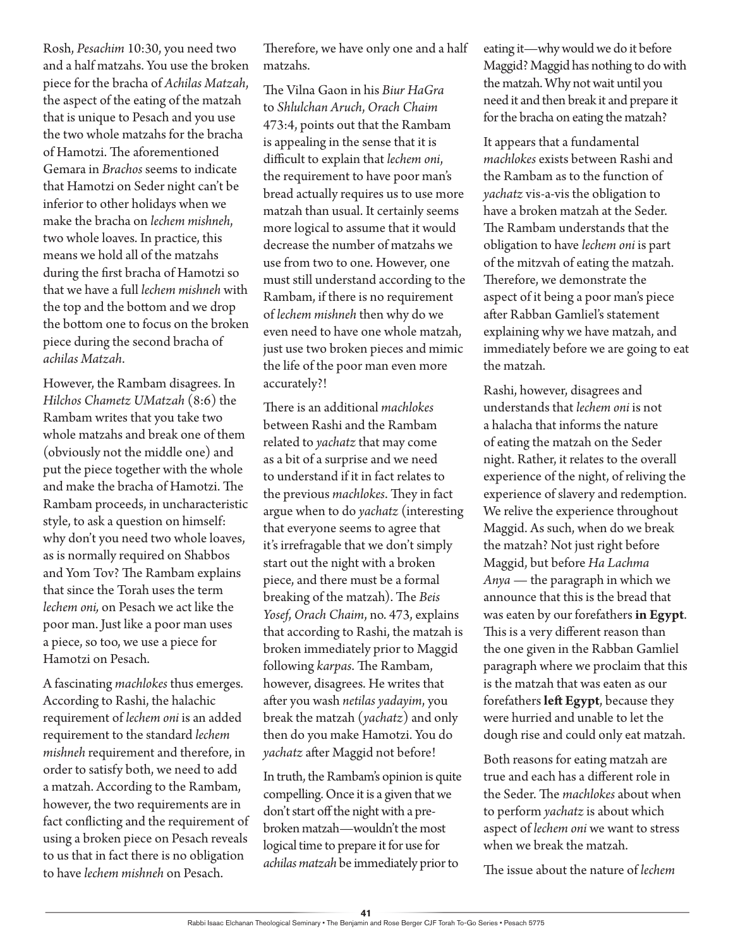Rosh, *Pesachim* 10:30, you need two and a half matzahs. You use the broken piece for the bracha of *Achilas Matzah*, the aspect of the eating of the matzah that is unique to Pesach and you use the two whole matzahs for the bracha of Hamotzi. The aforementioned Gemara in *Brachos* seems to indicate that Hamotzi on Seder night can't be inferior to other holidays when we make the bracha on *lechem mishneh*, two whole loaves. In practice, this means we hold all of the matzahs during the first bracha of Hamotzi so that we have a full *lechem mishneh* with the top and the bottom and we drop the bottom one to focus on the broken piece during the second bracha of *achilas Matzah*.

However, the Rambam disagrees. In *Hilchos Chametz UMatzah* (8:6) the Rambam writes that you take two whole matzahs and break one of them (obviously not the middle one) and put the piece together with the whole and make the bracha of Hamotzi. The Rambam proceeds, in uncharacteristic style, to ask a question on himself: why don't you need two whole loaves, as is normally required on Shabbos and Yom Tov? The Rambam explains that since the Torah uses the term *lechem oni,* on Pesach we act like the poor man. Just like a poor man uses a piece, so too, we use a piece for Hamotzi on Pesach.

A fascinating *machlokes* thus emerges. According to Rashi, the halachic requirement of *lechem oni* is an added requirement to the standard *lechem mishneh* requirement and therefore, in order to satisfy both, we need to add a matzah. According to the Rambam, however, the two requirements are in fact conflicting and the requirement of using a broken piece on Pesach reveals to us that in fact there is no obligation to have *lechem mishneh* on Pesach.

Therefore, we have only one and a half matzahs.

The Vilna Gaon in his *Biur HaGra* to *Shlulchan Aruch*, *Orach Chaim* 473:4, points out that the Rambam is appealing in the sense that it is difficult to explain that *lechem oni*, the requirement to have poor man's bread actually requires us to use more matzah than usual. It certainly seems more logical to assume that it would decrease the number of matzahs we use from two to one. However, one must still understand according to the Rambam, if there is no requirement of *lechem mishneh* then why do we even need to have one whole matzah, just use two broken pieces and mimic the life of the poor man even more accurately?!

There is an additional *machlokes* between Rashi and the Rambam related to *yachatz* that may come as a bit of a surprise and we need to understand if it in fact relates to the previous *machlokes*. They in fact argue when to do *yachatz* (interesting that everyone seems to agree that it's irrefragable that we don't simply start out the night with a broken piece, and there must be a formal breaking of the matzah). The *Beis Yosef*, *Orach Chaim*, no. 473, explains that according to Rashi, the matzah is broken immediately prior to Maggid following *karpas*. The Rambam, however, disagrees. He writes that after you wash *netilas yadayim*, you break the matzah (*yachatz*) and only then do you make Hamotzi. You do *yachatz* after Maggid not before!

In truth, the Rambam's opinion is quite compelling. Once it is a given that we don't start off the night with a prebroken matzah—wouldn't the most logical time to prepare it for use for *achilas matzah* be immediately prior to

eating it—why would we do it before Maggid? Maggid has nothing to do with the matzah. Why not wait until you need it and then break it and prepare it for the bracha on eating the matzah?

It appears that a fundamental *machlokes* exists between Rashi and the Rambam as to the function of *yachatz* vis-a-vis the obligation to have a broken matzah at the Seder. The Rambam understands that the obligation to have *lechem oni* is part of the mitzvah of eating the matzah. Therefore, we demonstrate the aspect of it being a poor man's piece after Rabban Gamliel's statement explaining why we have matzah, and immediately before we are going to eat the matzah.

Rashi, however, disagrees and understands that *lechem oni* is not a halacha that informs the nature of eating the matzah on the Seder night. Rather, it relates to the overall experience of the night, of reliving the experience of slavery and redemption. We relive the experience throughout Maggid. As such, when do we break the matzah? Not just right before Maggid, but before *Ha Lachma Anya* — the paragraph in which we announce that this is the bread that was eaten by our forefathers **in Egypt**. This is a very different reason than the one given in the Rabban Gamliel paragraph where we proclaim that this is the matzah that was eaten as our forefathers **left Egypt**, because they were hurried and unable to let the dough rise and could only eat matzah.

Both reasons for eating matzah are true and each has a different role in the Seder. The *machlokes* about when to perform *yachatz* is about which aspect of *lechem oni* we want to stress when we break the matzah.

The issue about the nature of *lechem*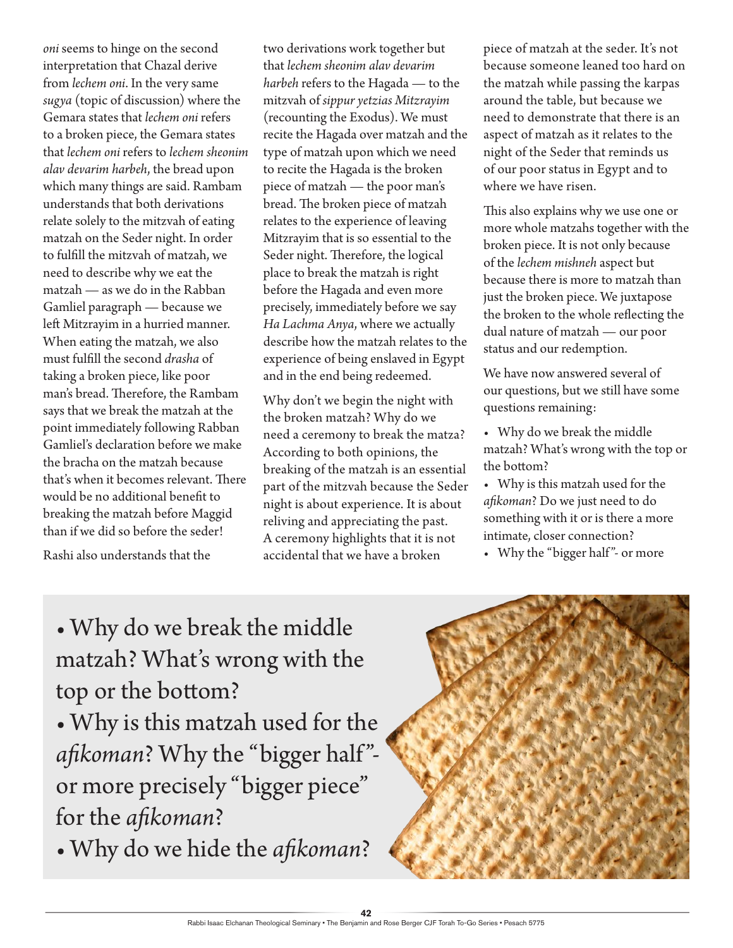*oni* seems to hinge on the second interpretation that Chazal derive from *lechem oni*. In the very same *sugya* (topic of discussion) where the Gemara states that *lechem oni* refers to a broken piece, the Gemara states that *lechem oni* refers to *lechem sheonim alav devarim harbeh*, the bread upon which many things are said. Rambam understands that both derivations relate solely to the mitzvah of eating matzah on the Seder night. In order to fulfill the mitzvah of matzah, we need to describe why we eat the matzah — as we do in the Rabban Gamliel paragraph — because we left Mitzrayim in a hurried manner. When eating the matzah, we also must fulfill the second *drasha* of taking a broken piece, like poor man's bread. Therefore, the Rambam says that we break the matzah at the point immediately following Rabban Gamliel's declaration before we make the bracha on the matzah because that's when it becomes relevant. There would be no additional benefit to breaking the matzah before Maggid than if we did so before the seder!

Rashi also understands that the

two derivations work together but that *lechem sheonim alav devarim harbeh* refers to the Hagada — to the mitzvah of *sippur yetzias Mitzrayim* (recounting the Exodus). We must recite the Hagada over matzah and the type of matzah upon which we need to recite the Hagada is the broken piece of matzah — the poor man's bread. The broken piece of matzah relates to the experience of leaving Mitzrayim that is so essential to the Seder night. Therefore, the logical place to break the matzah is right before the Hagada and even more precisely, immediately before we say *Ha Lachma Anya*, where we actually describe how the matzah relates to the experience of being enslaved in Egypt and in the end being redeemed.

Why don't we begin the night with the broken matzah? Why do we need a ceremony to break the matza? According to both opinions, the breaking of the matzah is an essential part of the mitzvah because the Seder night is about experience. It is about reliving and appreciating the past. A ceremony highlights that it is not accidental that we have a broken

piece of matzah at the seder. It's not because someone leaned too hard on the matzah while passing the karpas around the table, but because we need to demonstrate that there is an aspect of matzah as it relates to the night of the Seder that reminds us of our poor status in Egypt and to where we have risen.

This also explains why we use one or more whole matzahs together with the broken piece. It is not only because of the *lechem mishneh* aspect but because there is more to matzah than just the broken piece. We juxtapose the broken to the whole reflecting the dual nature of matzah — our poor status and our redemption.

We have now answered several of our questions, but we still have some questions remaining:

- Why do we break the middle matzah? What's wrong with the top or the bottom?
- Why is this matzah used for the *afikoman*? Do we just need to do something with it or is there a more intimate, closer connection?
- Why the "bigger half"- or more

## matzah? What's wrong with the top or the bottom? • Why is this matzah used for the

• Why do we break the middle

afikoman? Why the "bigger half"or more precisely "bigger piece" for the *afikoman*?

• Why do we hide the *afikoman*?

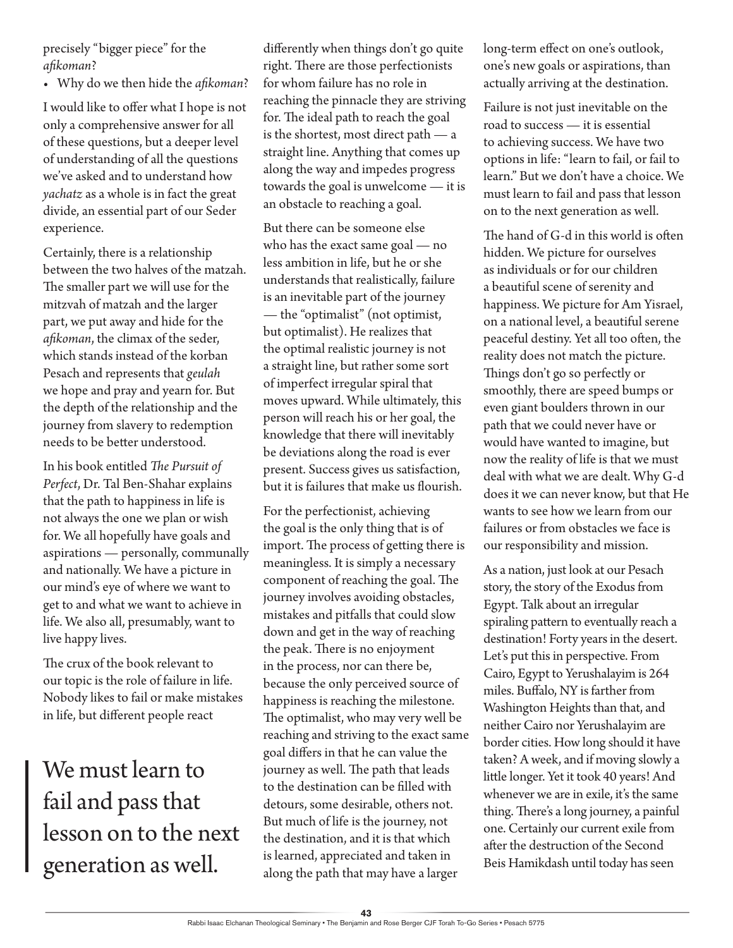precisely "bigger piece" for the *afikoman*?

• Why do we then hide the *afikoman*?

I would like to offer what I hope is not only a comprehensive answer for all of these questions, but a deeper level of understanding of all the questions we've asked and to understand how *yachatz* as a whole is in fact the great divide, an essential part of our Seder experience.

Certainly, there is a relationship between the two halves of the matzah. The smaller part we will use for the mitzvah of matzah and the larger part, we put away and hide for the *afikoman*, the climax of the seder, which stands instead of the korban Pesach and represents that *geulah* we hope and pray and yearn for. But the depth of the relationship and the journey from slavery to redemption needs to be better understood.

In his book entitled *The Pursuit of Perfect*, Dr. Tal Ben-Shahar explains that the path to happiness in life is not always the one we plan or wish for. We all hopefully have goals and aspirations — personally, communally and nationally. We have a picture in our mind's eye of where we want to get to and what we want to achieve in life. We also all, presumably, want to live happy lives.

The crux of the book relevant to our topic is the role of failure in life. Nobody likes to fail or make mistakes in life, but different people react

We must learn to fail and pass that lesson on to the next generation as well.

differently when things don't go quite right. There are those perfectionists for whom failure has no role in reaching the pinnacle they are striving for. The ideal path to reach the goal is the shortest, most direct path — a straight line. Anything that comes up along the way and impedes progress towards the goal is unwelcome — it is an obstacle to reaching a goal.

But there can be someone else who has the exact same goal — no less ambition in life, but he or she understands that realistically, failure is an inevitable part of the journey — the "optimalist" (not optimist, but optimalist). He realizes that the optimal realistic journey is not a straight line, but rather some sort of imperfect irregular spiral that moves upward. While ultimately, this person will reach his or her goal, the knowledge that there will inevitably be deviations along the road is ever present. Success gives us satisfaction, but it is failures that make us flourish.

For the perfectionist, achieving the goal is the only thing that is of import. The process of getting there is meaningless. It is simply a necessary component of reaching the goal. The journey involves avoiding obstacles, mistakes and pitfalls that could slow down and get in the way of reaching the peak. There is no enjoyment in the process, nor can there be, because the only perceived source of happiness is reaching the milestone. The optimalist, who may very well be reaching and striving to the exact same goal differs in that he can value the journey as well. The path that leads to the destination can be filled with detours, some desirable, others not. But much of life is the journey, not the destination, and it is that which is learned, appreciated and taken in along the path that may have a larger

long-term effect on one's outlook, one's new goals or aspirations, than actually arriving at the destination.

Failure is not just inevitable on the road to success — it is essential to achieving success. We have two options in life: "learn to fail, or fail to learn." But we don't have a choice. We must learn to fail and pass that lesson on to the next generation as well.

The hand of G-d in this world is often hidden. We picture for ourselves as individuals or for our children a beautiful scene of serenity and happiness. We picture for Am Yisrael, on a national level, a beautiful serene peaceful destiny. Yet all too often, the reality does not match the picture. Things don't go so perfectly or smoothly, there are speed bumps or even giant boulders thrown in our path that we could never have or would have wanted to imagine, but now the reality of life is that we must deal with what we are dealt. Why G-d does it we can never know, but that He wants to see how we learn from our failures or from obstacles we face is our responsibility and mission.

As a nation, just look at our Pesach story, the story of the Exodus from Egypt. Talk about an irregular spiraling pattern to eventually reach a destination! Forty years in the desert. Let's put this in perspective. From Cairo, Egypt to Yerushalayim is 264 miles. Buffalo, NY is farther from Washington Heights than that, and neither Cairo nor Yerushalayim are border cities. How long should it have taken? A week, and if moving slowly a little longer. Yet it took 40 years! And whenever we are in exile, it's the same thing. There's a long journey, a painful one. Certainly our current exile from after the destruction of the Second Beis Hamikdash until today has seen